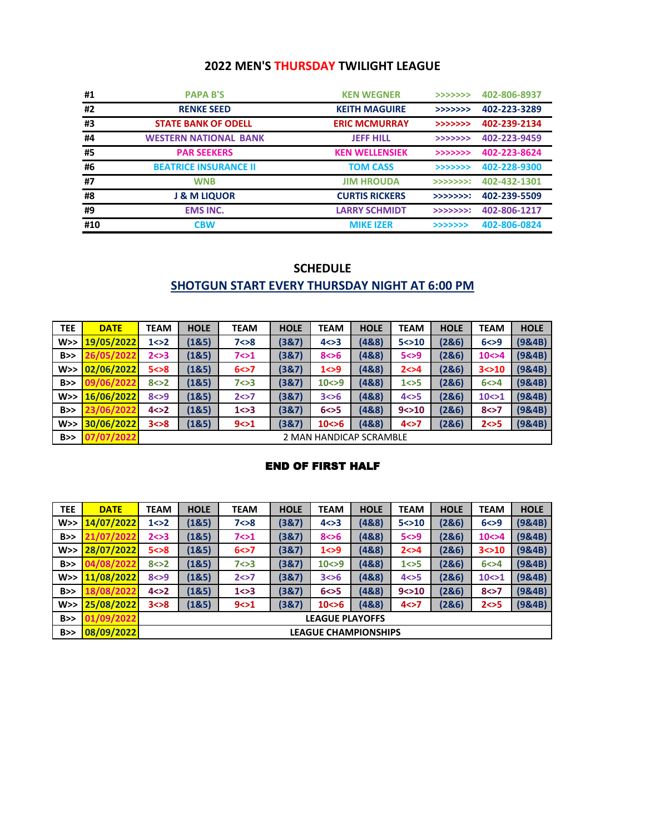## **2022 MEN'S THURSDAY TWILIGHT LEAGUE**

| #1  | <b>PAPA B'S</b>              | <b>KEN WEGNER</b>     | >>>>>>>> | 402-806-8937 |
|-----|------------------------------|-----------------------|----------|--------------|
| #2  | <b>RENKE SEED</b>            | <b>KEITH MAGUIRE</b>  | >>>>>>>> | 402-223-3289 |
| #3  | <b>STATE BANK OF ODELL</b>   | <b>ERIC MCMURRAY</b>  | >>>>>>>  | 402-239-2134 |
| #4  | <b>WESTERN NATIONAL BANK</b> | <b>JEFF HILL</b>      | >>>>>>>> | 402-223-9459 |
| #5  | <b>PAR SEEKERS</b>           | <b>KEN WELLENSIEK</b> | >>>>>>>  | 402-223-8624 |
| #6  | <b>BEATRICE INSURANCE II</b> | <b>TOM CASS</b>       | >>>>>>>> | 402-228-9300 |
| #7  | <b>WNB</b>                   | <b>JIM HROUDA</b>     | >>>>>>>> | 402-432-1301 |
| #8  | <b>J &amp; M LIQUOR</b>      | <b>CURTIS RICKERS</b> | >>>>>>>> | 402-239-5509 |
| #9  | <b>EMS INC.</b>              | <b>LARRY SCHMIDT</b>  | >>>>>>>> | 402-806-1217 |
| #10 | <b>CBW</b>                   | <b>MIKE IZER</b>      | >>>>>>>> | 402-806-0824 |

## **SCHEDULE SHOTGUN START EVERY THURSDAY NIGHT AT 6:00 PM**

| <b>TEE</b> | <b>DATE</b> | <b>TEAM</b> | <b>HOLE</b> | <b>TEAM</b> | <b>HOLE</b> | <b>TEAM</b> | <b>HOLE</b>             | <b>TEAM</b> | <b>HOLE</b> | <b>TEAM</b> | <b>HOLE</b> |
|------------|-------------|-------------|-------------|-------------|-------------|-------------|-------------------------|-------------|-------------|-------------|-------------|
| W>         | 19/05/2022  | 1 < > 2     | (18.5)      | 7 < > 8     | (38.7)      | 4 < > 3     | (4&8)                   | 5 < 10      | (286)       | 6 < > 9     | (98.4B)     |
| B>>        | 26/05/2022  | 2 < > 3     | (1&5)       | 7 < > 1     | (38.7)      | 8 < > 6     | (4&8)                   | 5 < > 9     | (2&6)       | 10 < > 4    | (98.4B)     |
| W>         | 02/06/2022  | 5 < > 8     | (18.5)      | 6 < > 7     | (38.7)      | 1 < > 9     | (4&8)                   | 2 < > 4     | (2&6)       | 3 < 10      | (98.4B)     |
| B>>        | 09/06/2022  | 8 < > 2     | (1&5)       | 7 < > 3     | (387)       | 10 < > 9    | (4&8)                   | 1 < > 5     | (2&6)       | 6 < > 4     | (98.4B)     |
| W>         | 16/06/2022  | 8 < > 9     | (18.5)      | 2 < > 7     | (387)       | 3 < > 6     | (4&8)                   | 4 < > 5     | (2&6)       | 10 < > 1    | (98.4B)     |
| B>>        | 23/06/2022  | 4 < > 2     | (1&5)       | 1 < > 3     | (38.7)      | 6 < > 5     | (4&8)                   | 9 < > 10    | (2&6)       | 8 < 7       | (98.4B)     |
| W>         | 30/06/2022  | 3 < > 8     | (18.5)      | 9 < > 1     | (387)       | 10 < > 6    | (4&8)                   | 4 < > 7     | (2&6)       | 2 < > 5     | (98.4B)     |
| B>>        | 07/07/2022  |             |             |             |             |             | 2 MAN HANDICAP SCRAMBLE |             |             |             |             |

## END OF FIRST HALF

| <b>TEE</b> | <b>DATE</b> | <b>TEAM</b>            | <b>HOLE</b> | <b>TEAM</b> | <b>HOLE</b> | <b>TEAM</b>                 | <b>HOLE</b> | <b>TEAM</b> | <b>HOLE</b> | <b>TEAM</b> | <b>HOLE</b> |
|------------|-------------|------------------------|-------------|-------------|-------------|-----------------------------|-------------|-------------|-------------|-------------|-------------|
| W>         | 14/07/2022  | 1 < > 2                | (18.5)      | 7 < 8       | (38.7)      | 4 < > 3                     | (4&8)       | 5 < 10      | (2&6)       | 6 < > 9     | (98.4B)     |
| B>>        | 21/07/2022  | 2 < > 3                | (18.5)      | 7 < 1       | (3&7)       | 8 < > 6                     | (4&8)       | 5 < 9       | (2&6)       | 10 < > 4    | (98.4B)     |
| W>>        | 28/07/2022  | 5 < > 8                | (18.5)      | 6 < > 7     | (3&7)       | 1 < > 9                     | (4&8)       | 2 < > 4     | (2&6)       | 3 < 10      | (98.4B)     |
| B>>        | 04/08/2022  | 8 < > 2                | (18.5)      | 7 < > 3     | (3&7)       | 10 < > 9                    | (4&8)       | 1 < > 5     | (2&6)       | 6 < > 4     | (98.4B)     |
| W>         | 11/08/2022  | 8 < > 9                | (18.5)      | 2 < > 7     | (3&7)       | 3 < > 6                     | (4&8)       | 4 < > 5     | (2&6)       | 10<>1       | (98.4B)     |
| B>>        | 18/08/2022  | 4 < > 2                | (1&5)       | 1 < > 3     | (3&7)       | 6 < > 5                     | (4&8)       | 9 < > 10    | (2&6)       | 8 < > 7     | (98.4B)     |
| W>         | 25/08/2022  | 3 < > 8                | (18.5)      | 9 < > 1     | (3&7)       | 10 < > 6                    | (4&8)       | 4 < > 7     | (2&6)       | 2 < >5      | (98.4B)     |
| B>>        | 01/09/2022  | <b>LEAGUE PLAYOFFS</b> |             |             |             |                             |             |             |             |             |             |
| B>>        | 08/09/2022  |                        |             |             |             | <b>LEAGUE CHAMPIONSHIPS</b> |             |             |             |             |             |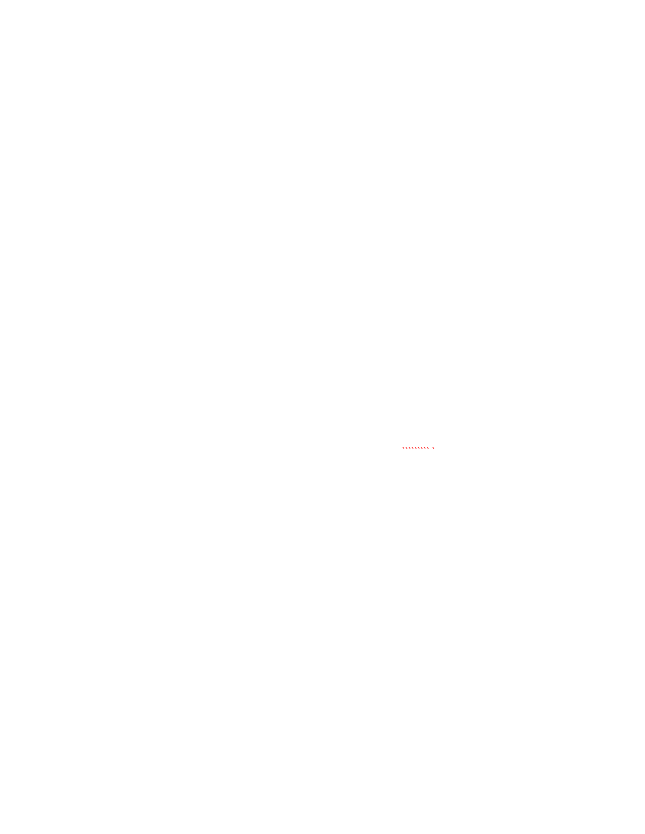*Command*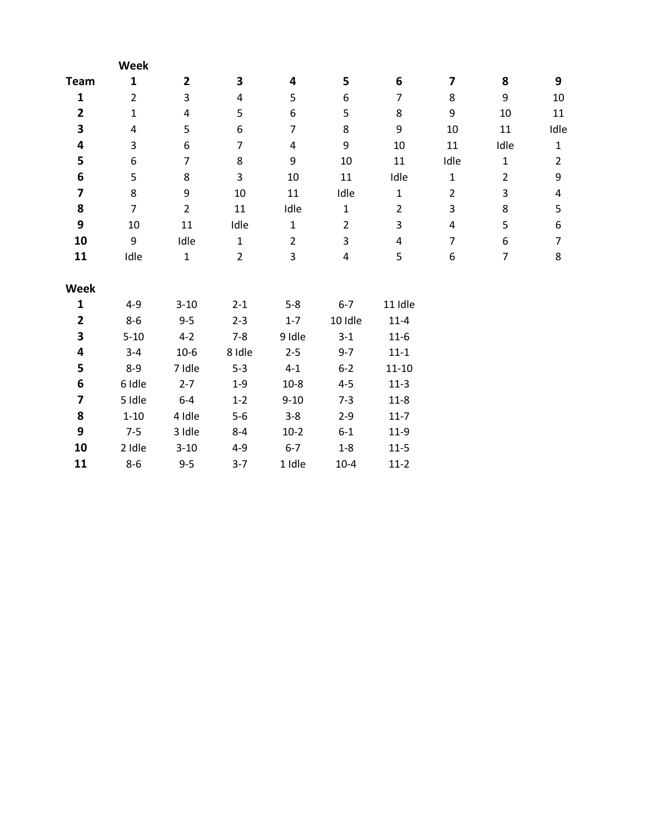|                  | Week           |                |                |                |                |                |                |                |                         |
|------------------|----------------|----------------|----------------|----------------|----------------|----------------|----------------|----------------|-------------------------|
| <b>Team</b>      | $\mathbf{1}$   | $\mathbf{2}$   | 3              | 4              | 5              | 6              | 7              | 8              | 9                       |
| $\mathbf{1}$     | $\overline{2}$ | 3              | 4              | 5              | 6              | $\overline{7}$ | 8              | 9              | 10                      |
| $\mathbf{2}$     | 1              | 4              | 5              | 6              | 5              | 8              | 9              | 10             | $11\,$                  |
| 3                | 4              | 5              | 6              | $\overline{7}$ | 8              | 9              | 10             | 11             | Idle                    |
| 4                | 3              | 6              | 7              | $\pmb{4}$      | 9              | 10             | 11             | Idle           | $\mathbf 1$             |
| 5                | 6              | $\overline{7}$ | 8              | 9              | 10             | $11\,$         | Idle           | $\mathbf 1$    | $\overline{2}$          |
| 6                | 5              | 8              | 3              | 10             | $11\,$         | Idle           | $\mathbf{1}$   | $\overline{2}$ | $\boldsymbol{9}$        |
| 7                | 8              | 9              | 10             | 11             | Idle           | $\mathbf{1}$   | $\overline{2}$ | 3              | $\overline{\mathbf{4}}$ |
| 8                | $\overline{7}$ | $\overline{2}$ | 11             | Idle           | $\mathbf 1$    | $\overline{2}$ | 3              | 8              | $\mathsf S$             |
| $\boldsymbol{9}$ | 10             | 11             | Idle           | $\mathbf 1$    | $\overline{2}$ | 3              | 4              | 5              | $\boldsymbol{6}$        |
| 10               | 9              | Idle           | $\mathbf{1}$   | $\overline{2}$ | 3              | 4              | $\overline{7}$ | 6              | $\overline{7}$          |
| 11               | Idle           | $\mathbf 1$    | $\overline{2}$ | 3              | 4              | 5              | 6              | 7              | 8                       |
| Week             |                |                |                |                |                |                |                |                |                         |
| $\mathbf{1}$     | $4 - 9$        | $3 - 10$       | $2 - 1$        | $5 - 8$        | $6 - 7$        | 11 Idle        |                |                |                         |
| $\mathbf{2}$     | $8 - 6$        | $9 - 5$        | $2 - 3$        | $1 - 7$        | 10 Idle        | $11 - 4$       |                |                |                         |
| 3                | $5 - 10$       | $4 - 2$        | $7 - 8$        | 9 Idle         | $3 - 1$        | $11 - 6$       |                |                |                         |
| 4                | $3 - 4$        | $10-6$         | 8 Idle         | $2 - 5$        | $9 - 7$        | $11 - 1$       |                |                |                         |
| 5                | $8 - 9$        | 7 Idle         | $5 - 3$        | $4 - 1$        | $6 - 2$        | $11 - 10$      |                |                |                         |
| 6                | 6 Idle         | $2 - 7$        | $1-9$          | $10 - 8$       | $4 - 5$        | $11-3$         |                |                |                         |
| 7                | 5 Idle         | $6-4$          | $1 - 2$        | $9 - 10$       | $7 - 3$        | $11 - 8$       |                |                |                         |
| 8                | $1 - 10$       | 4 Idle         | $5-6$          | $3 - 8$        | $2 - 9$        | $11 - 7$       |                |                |                         |
| 9                | $7 - 5$        | 3 Idle         | $8 - 4$        | $10-2$         | $6 - 1$        | $11-9$         |                |                |                         |
| 10               | 2 Idle         | $3 - 10$       | $4 - 9$        | $6 - 7$        | $1 - 8$        | $11 - 5$       |                |                |                         |
| 11               | $8 - 6$        | $9 - 5$        | $3 - 7$        | 1 Idle         | $10 - 4$       | $11-2$         |                |                |                         |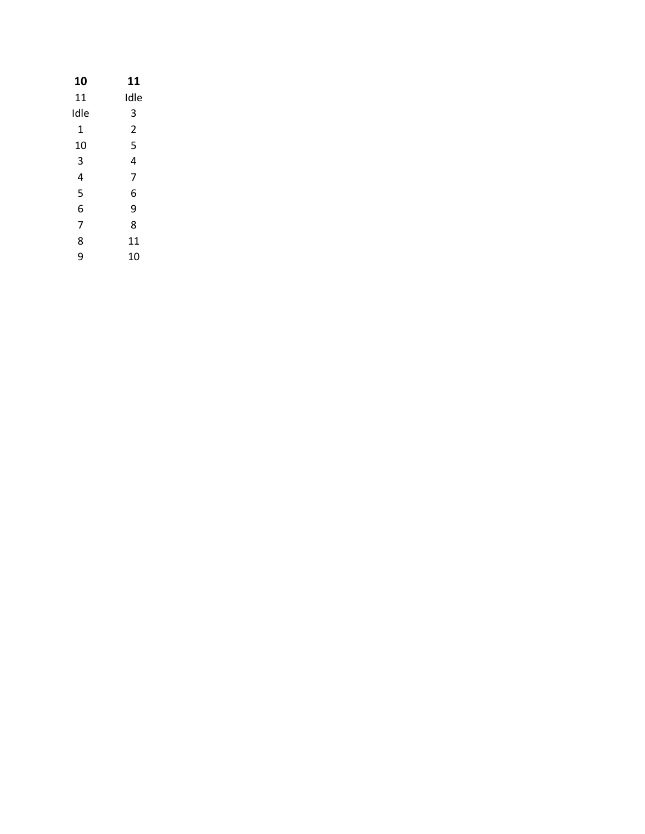| 10   | 11   |
|------|------|
| 11   | Idle |
| Idle | 3    |
| 1    | 2    |
| 10   | 5    |
| 3    | 4    |
| 4    | 7    |
| 5    | 6    |
| 6    | 9    |
| 7    | 8    |
| 8    | 11   |
| 9    | 10   |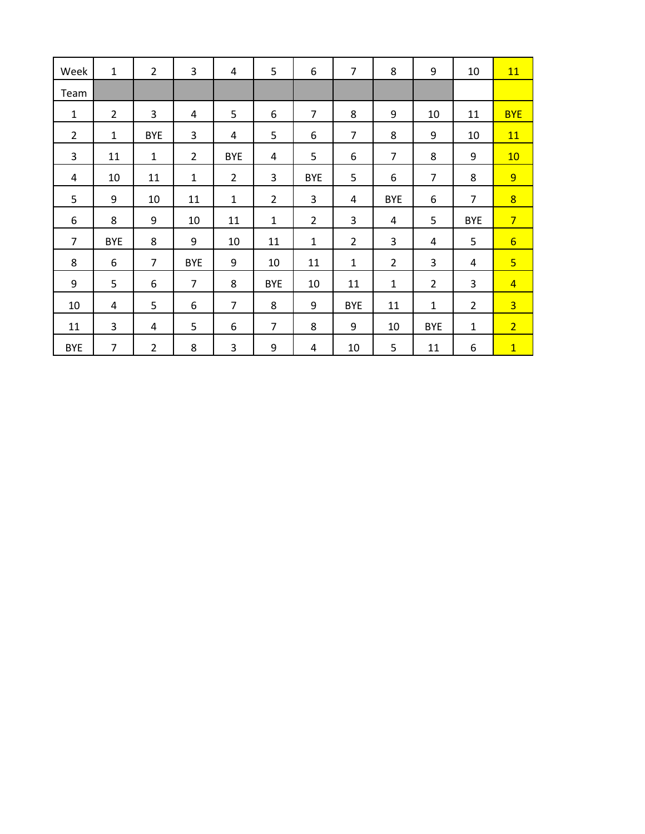| Week           | $\mathbf{1}$   | 2              | 3              | 4              | 5              | 6              | $\overline{7}$ | 8              | 9              | 10             | 11              |
|----------------|----------------|----------------|----------------|----------------|----------------|----------------|----------------|----------------|----------------|----------------|-----------------|
| Team           |                |                |                |                |                |                |                |                |                |                |                 |
| 1              | $\overline{2}$ | 3              | 4              | 5              | 6              | $\overline{7}$ | 8              | 9              | 10             | 11             | <b>BYE</b>      |
| $\overline{2}$ | 1              | <b>BYE</b>     | 3              | 4              | 5              | 6              | $\overline{7}$ | 8              | 9              | 10             | 11              |
| 3              | 11             | $\mathbf{1}$   | $\overline{2}$ | <b>BYE</b>     | 4              | 5              | 6              | $\overline{7}$ | 8              | 9              | 10              |
| 4              | 10             | 11             | $\mathbf{1}$   | $\overline{2}$ | 3              | <b>BYE</b>     | 5              | 6              | 7              | 8              | 9 <sup>°</sup>  |
| 5              | 9              | 10             | 11             | 1              | $\overline{2}$ | 3              | 4              | <b>BYE</b>     | 6              | 7              | 8               |
| 6              | 8              | 9              | 10             | 11             | $\mathbf{1}$   | $\overline{2}$ | 3              | 4              | 5              | <b>BYE</b>     | $7\overline{ }$ |
| $\overline{7}$ | <b>BYE</b>     | 8              | 9              | 10             | 11             | $\mathbf{1}$   | $\overline{2}$ | 3              | 4              | 5              | $6\overline{6}$ |
| 8              | 6              | $\overline{7}$ | <b>BYE</b>     | 9              | 10             | 11             | $\mathbf{1}$   | $\overline{2}$ | 3              | 4              | $\overline{5}$  |
| 9              | 5              | 6              | $\overline{7}$ | 8              | <b>BYE</b>     | 10             | 11             | 1              | $\overline{2}$ | 3              | $\overline{4}$  |
| 10             | 4              | 5              | 6              | $\overline{7}$ | 8              | 9              | <b>BYE</b>     | 11             | $\mathbf{1}$   | $\overline{2}$ | $\overline{3}$  |
| 11             | 3              | 4              | 5              | 6              | $\overline{7}$ | 8              | 9              | 10             | <b>BYE</b>     | $\mathbf{1}$   | 2 <sup>1</sup>  |
| <b>BYE</b>     | $\overline{7}$ | $\overline{2}$ | 8              | 3              | 9              | 4              | 10             | 5              | 11             | 6              | $\overline{1}$  |